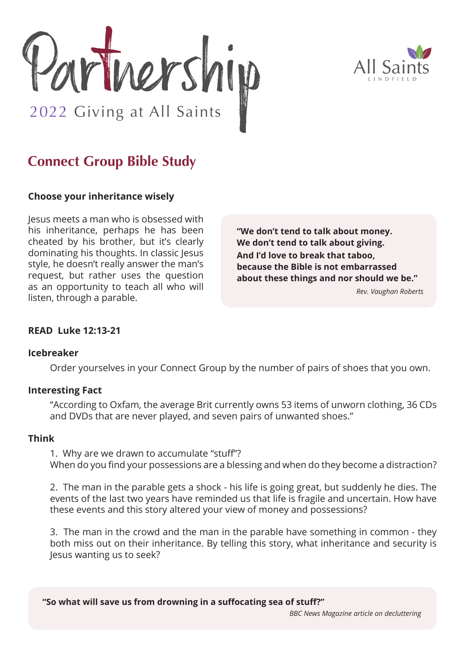



# **Connect Group Bible Study**

# **Choose your inheritance wisely**

Jesus meets a man who is obsessed with his inheritance, perhaps he has been cheated by his brother, but it's clearly dominating his thoughts. In classic Jesus style, he doesn't really answer the man's request, but rather uses the question as an opportunity to teach all who will listen, through a parable.

**"We don't tend to talk about money. We don't tend to talk about giving.**

**And I'd love to break that taboo, because the Bible is not embarrassed about these things and nor should we be."**

*Rev. Vaughan Roberts*

# **READ Luke 12:13-21**

#### **Icebreaker**

Order yourselves in your Connect Group by the number of pairs of shoes that you own.

## **Interesting Fact**

"According to Oxfam, the average Brit currently owns 53 items of unworn clothing, 36 CDs and DVDs that are never played, and seven pairs of unwanted shoes."

#### **Think**

1. Why are we drawn to accumulate "stuff"? When do you find your possessions are a blessing and when do they become a distraction?

2. The man in the parable gets a shock - his life is going great, but suddenly he dies. The events of the last two years have reminded us that life is fragile and uncertain. How have these events and this story altered your view of money and possessions?

3. The man in the crowd and the man in the parable have something in common - they both miss out on their inheritance. By telling this story, what inheritance and security is Jesus wanting us to seek?

**"So what will save us from drowning in a suffocating sea of stuff?"** 

*BBC News Magazine article on decluttering*